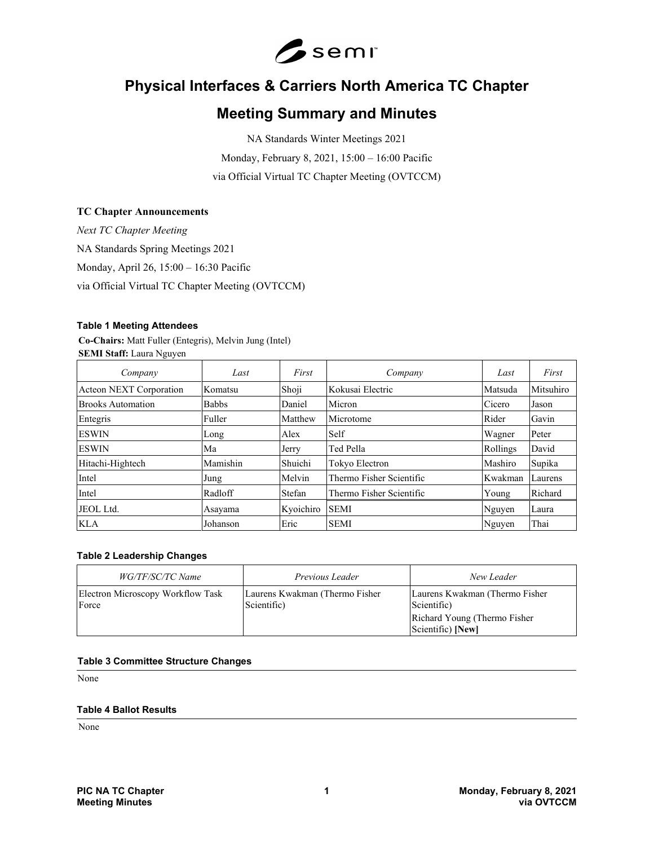

# **Physical Interfaces & Carriers North America TC Chapter**

# **Meeting Summary and Minutes**

NA Standards Winter Meetings 2021 Monday, February 8, 2021, 15:00 – 16:00 Pacific via Official Virtual TC Chapter Meeting (OVTCCM)

# **TC Chapter Announcements**

*Next TC Chapter Meeting* NA Standards Spring Meetings 2021 Monday, April 26, 15:00 – 16:30 Pacific via Official Virtual TC Chapter Meeting (OVTCCM)

### **Table 1 Meeting Attendees**

**Co-Chairs:** Matt Fuller (Entegris), Melvin Jung (Intel) **SEMI Staff:** Laura Nguyen

| Company                        | Last         | First     | Company                  | Last     | First     |
|--------------------------------|--------------|-----------|--------------------------|----------|-----------|
| <b>Acteon NEXT Corporation</b> | Komatsu      | Shoji     | Kokusai Electric         | Matsuda  | Mitsuhiro |
| <b>Brooks Automation</b>       | <b>Babbs</b> | Daniel    | Micron                   | Cicero   | Jason     |
| Entegris                       | Fuller       | Matthew   | Microtome                | Rider    | Gavin     |
| <b>ESWIN</b>                   | Long         | Alex      | Self                     | Wagner   | Peter     |
| <b>ESWIN</b>                   | Ma           | Jerry     | Ted Pella                | Rollings | David     |
| Hitachi-Hightech               | Mamishin     | Shuichi   | Tokyo Electron           | Mashiro  | Supika    |
| Intel                          | Jung         | Melvin    | Thermo Fisher Scientific | Kwakman  | Laurens   |
| Intel                          | Radloff      | Stefan    | Thermo Fisher Scientific | Young    | Richard   |
| JEOL Ltd.                      | Asayama      | Kyoichiro | <b>SEMI</b>              | Nguyen   | Laura     |
| <b>KLA</b>                     | Johanson     | Eric      | <b>SEMI</b>              | Nguyen   | Thai      |

#### **Table 2 Leadership Changes**

| WG/TF/SC/TC Name                           | Previous Leader                                | New Leader                                        |
|--------------------------------------------|------------------------------------------------|---------------------------------------------------|
| Electron Microscopy Workflow Task<br>Force | Laurens Kwakman (Thermo Fisher)<br>Scientific) | Laurens Kwakman (Thermo Fisher)<br>Scientific)    |
|                                            |                                                | Richard Young (Thermo Fisher<br>Scientific) [New] |

#### **Table 3 Committee Structure Changes**

None

#### **Table 4 Ballot Results**

None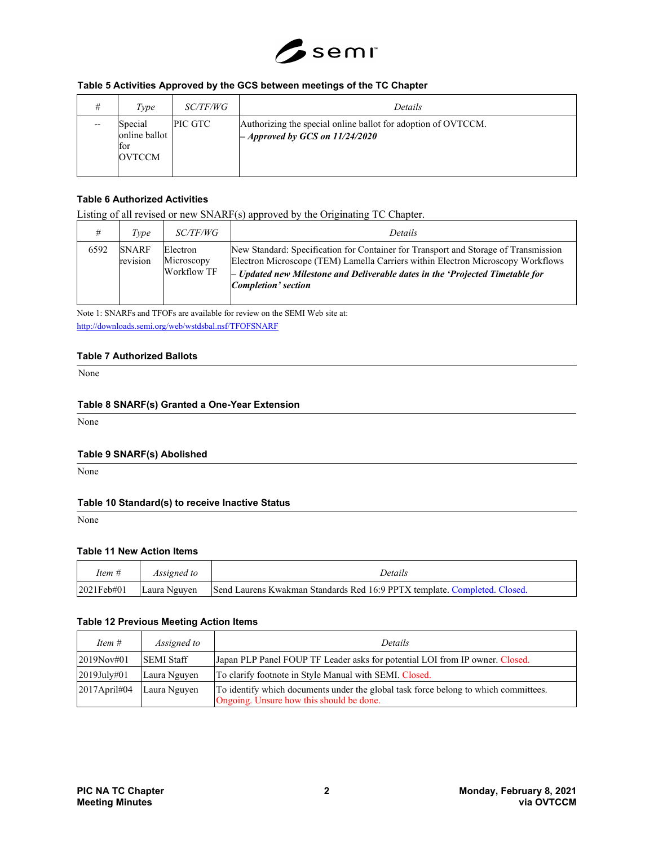

# **Table 5 Activities Approved by the GCS between meetings of the TC Chapter**

| Type                                             | <i>SC/TF/WG</i> | Details                                                                                              |
|--------------------------------------------------|-----------------|------------------------------------------------------------------------------------------------------|
| Special<br>online ballot<br>for<br><b>OVTCCM</b> | PIC GTC         | Authorizing the special online ballot for adoption of OVTCCM.<br>$-$ Approved by GCS on $11/24/2020$ |

# **Table 6 Authorized Activities**

Listing of all revised or new SNARF(s) approved by the Originating TC Chapter.

|      | Type                     | <i>SC/TF/WG</i>                              | Details                                                                                                                                                                                                                                                                                 |
|------|--------------------------|----------------------------------------------|-----------------------------------------------------------------------------------------------------------------------------------------------------------------------------------------------------------------------------------------------------------------------------------------|
| 6592 | <b>SNARF</b><br>revision | Electron<br>Microscopy<br><b>Workflow TF</b> | New Standard: Specification for Container for Transport and Storage of Transmission<br>Electron Microscope (TEM) Lamella Carriers within Electron Microscopy Workflows<br>$-$ Updated new Milestone and Deliverable dates in the 'Projected Timetable for<br><b>Completion'</b> section |

Note 1: SNARFs and TFOFs are available for review on the SEMI Web site at: <http://downloads.semi.org/web/wstdsbal.nsf/TFOFSNARF>

#### **Table 7 Authorized Ballots**

None

### **Table 8 SNARF(s) Granted a One-Year Extension**

None

#### **Table 9 SNARF(s) Abolished**

None

# **Table 10 Standard(s) to receive Inactive Status**

None

#### **Table 11 New Action Items**

| Item #         | <i>Assigned to</i> | Details                                                                   |
|----------------|--------------------|---------------------------------------------------------------------------|
| $ 2021$ Feb#01 | Laura Nguyen       | Send Laurens Kwakman Standards Red 16:9 PPTX template. Completed. Closed. |

### **Table 12 Previous Meeting Action Items**

| Item $#$         | Assigned to       | Details                                                                                                                         |
|------------------|-------------------|---------------------------------------------------------------------------------------------------------------------------------|
| 2019Nov#01       | <b>SEMI Staff</b> | Japan PLP Panel FOUP TF Leader asks for potential LOI from IP owner. Closed.                                                    |
| 2019July#01      | Laura Nguyen      | To clarify footnote in Style Manual with SEMI. Closed.                                                                          |
| $ 2017$ April#04 | Laura Nguyen      | To identify which documents under the global task force belong to which committees.<br>Ongoing. Unsure how this should be done. |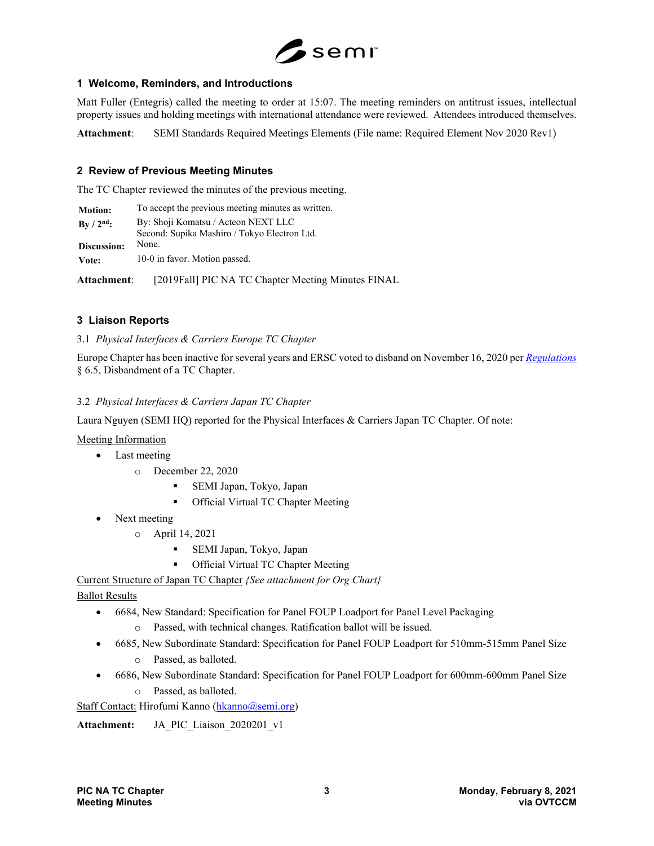

# **1 Welcome, Reminders, and Introductions**

Matt Fuller (Entegris) called the meeting to order at 15:07. The meeting reminders on antitrust issues, intellectual property issues and holding meetings with international attendance were reviewed. Attendees introduced themselves.

**Attachment**: SEMI Standards Required Meetings Elements (File name: Required Element Nov 2020 Rev1)

# **2 Review of Previous Meeting Minutes**

The TC Chapter reviewed the minutes of the previous meeting.

| <b>Motion:</b>      | To accept the previous meeting minutes as written.                                  |
|---------------------|-------------------------------------------------------------------------------------|
| $By / 2nd$ :        | By: Shoji Komatsu / Acteon NEXT LLC<br>Second: Supika Mashiro / Tokyo Electron Ltd. |
| Discussion:         | None.                                                                               |
| Vote:               | 10-0 in favor. Motion passed.                                                       |
| <b>Attachment</b> : | [2019Fall] PIC NA TC Chapter Meeting Minutes FINAL                                  |

# **3 Liaison Reports**

3.1 *Physical Interfaces & Carriers Europe TC Chapter*

Europe Chapter has been inactive for several years and ERSC voted to disband on November 16, 2020 per *[Regulations](https://nam12.safelinks.protection.outlook.com/?url=https%3A%2F%2Fwww.semi.org%2Fsites%2Fsemi.org%2Ffiles%2F2020-11%2FStandards%2520Regulations%2520November%25205%252C%25202020.pdf&data=04%7C01%7Clnguyen%40semi.org%7C4aff5062785e43c67ecf08d88b64a547%7Ccca80bdd74bd4f178e6deecd0bac5a02%7C0%7C1%7C637412611699927297%7CUnknown%7CTWFpbGZsb3d8eyJWIjoiMC4wLjAwMDAiLCJQIjoiV2luMzIiLCJBTiI6Ik1haWwiLCJXVCI6Mn0%3D%7C1000&sdata=zC%2FZep1SBLwWzVXYEnz4TGtmHcrvK4fPuvQFmMdoYkI%3D&reserved=0)* § 6.5, Disbandment of a TC Chapter.

# 3.2 *Physical Interfaces & Carriers Japan TC Chapter*

Laura Nguyen (SEMI HQ) reported for the Physical Interfaces & Carriers Japan TC Chapter. Of note:

Meeting Information

- Last meeting
	- o December 22, 2020
		- SEMI Japan, Tokyo, Japan
		- **Official Virtual TC Chapter Meeting**
- Next meeting
	- o April 14, 2021
		- SEMI Japan, Tokyo, Japan
		- Official Virtual TC Chapter Meeting

Current Structure of Japan TC Chapter *{See attachment for Org Chart}*

Ballot Results

- 6684, New Standard: Specification for Panel FOUP Loadport for Panel Level Packaging
	- o Passed, with technical changes. Ratification ballot will be issued.
- 6685, New Subordinate Standard: Specification for Panel FOUP Loadport for 510mm-515mm Panel Size
	- o Passed, as balloted.
- 6686, New Subordinate Standard: Specification for Panel FOUP Loadport for 600mm-600mm Panel Size
	- o Passed, as balloted.

Staff Contact: Hirofumi Kanno [\(hkanno@semi.org\)](mailto:hkanno@semi.org)

**Attachment:** JA\_PIC\_Liaison\_2020201\_v1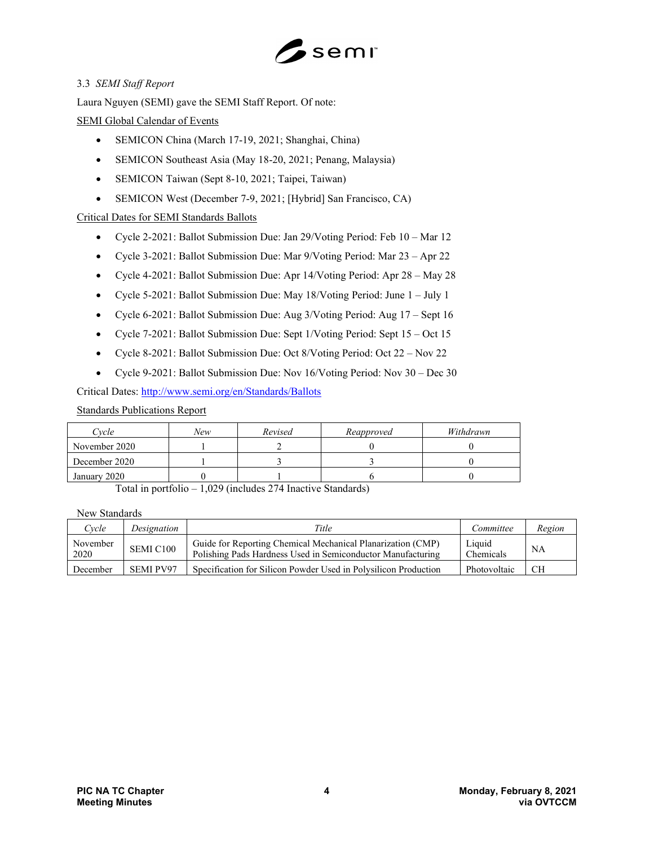

# 3.3 *SEMI Staff Report*

Laura Nguyen (SEMI) gave the SEMI Staff Report. Of note:

# SEMI Global Calendar of Events

- SEMICON China (March 17-19, 2021; Shanghai, China)
- SEMICON Southeast Asia (May 18-20, 2021; Penang, Malaysia)
- SEMICON Taiwan (Sept 8-10, 2021; Taipei, Taiwan)
- SEMICON West (December 7-9, 2021; [Hybrid] San Francisco, CA)

# Critical Dates for SEMI Standards Ballots

- Cycle 2-2021: Ballot Submission Due: Jan 29/Voting Period: Feb 10 Mar 12
- Cycle 3-2021: Ballot Submission Due: Mar 9/Voting Period: Mar 23 Apr 22
- Cycle 4-2021: Ballot Submission Due: Apr 14/Voting Period: Apr 28 May 28
- Cycle 5-2021: Ballot Submission Due: May 18/Voting Period: June 1 July 1
- Cycle 6-2021: Ballot Submission Due: Aug 3/Voting Period: Aug 17 Sept 16
- Cycle 7-2021: Ballot Submission Due: Sept 1/Voting Period: Sept 15 Oct 15
- Cycle 8-2021: Ballot Submission Due: Oct 8/Voting Period: Oct 22 Nov 22
- Cycle 9-2021: Ballot Submission Due: Nov 16/Voting Period: Nov 30 Dec 30

Critical Dates:<http://www.semi.org/en/Standards/Ballots>

Standards Publications Report

| Cvcle         | New | Revised | Reapproved | Withdrawn |
|---------------|-----|---------|------------|-----------|
| November 2020 |     |         |            |           |
| December 2020 |     |         |            |           |
| January 2020  |     |         |            |           |

Total in portfolio – 1,029 (includes 274 Inactive Standards)

New Standards

| $C$ vcle         | Designation      | Title                                                                                                                      | Committee           | Region    |
|------------------|------------------|----------------------------------------------------------------------------------------------------------------------------|---------------------|-----------|
| November<br>2020 | SEMI C100        | Guide for Reporting Chemical Mechanical Planarization (CMP)<br>Polishing Pads Hardness Used in Semiconductor Manufacturing | Liquid<br>Chemicals | <b>NA</b> |
| December         | <b>SEMI PV97</b> | Specification for Silicon Powder Used in Polysilicon Production                                                            | Photovoltaic        | CН        |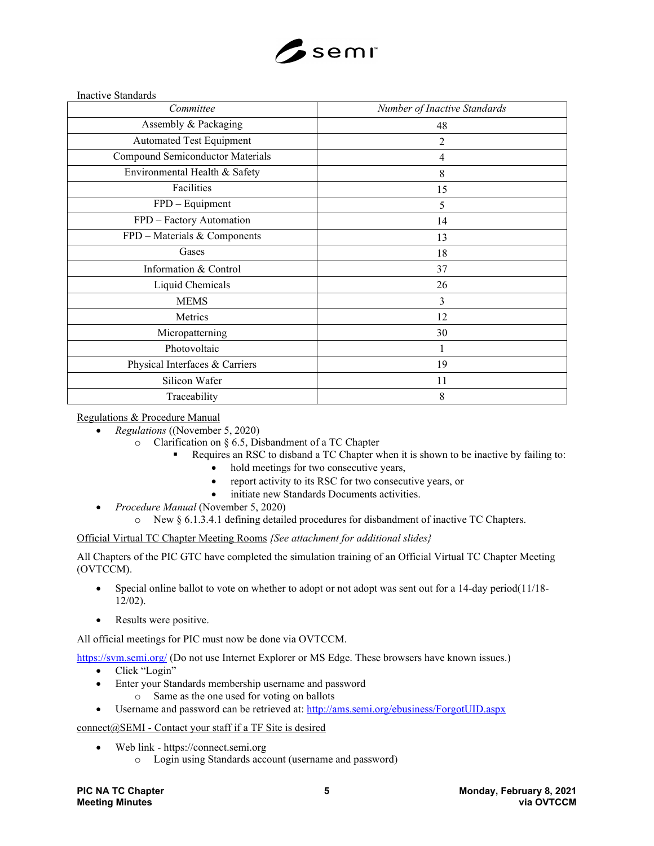

Inactive Standards

| Committee                        | Number of Inactive Standards |
|----------------------------------|------------------------------|
| Assembly & Packaging             | 48                           |
| <b>Automated Test Equipment</b>  | $\overline{2}$               |
| Compound Semiconductor Materials | $\overline{4}$               |
| Environmental Health & Safety    | 8                            |
| Facilities                       | 15                           |
| FPD - Equipment                  | 5                            |
| FPD - Factory Automation         | 14                           |
| FPD - Materials & Components     | 13                           |
| Gases                            | 18                           |
| Information & Control            | 37                           |
| Liquid Chemicals                 | 26                           |
| <b>MEMS</b>                      | 3                            |
| Metrics                          | 12                           |
| Micropatterning                  | 30                           |
| Photovoltaic                     |                              |
| Physical Interfaces & Carriers   | 19                           |
| Silicon Wafer                    | 11                           |
| Traceability                     | 8                            |

Regulations & Procedure Manual

- *Regulations* ((November 5, 2020)
	- o Clarification on § 6.5, Disbandment of a TC Chapter
		- Requires an RSC to disband a TC Chapter when it is shown to be inactive by failing to:
			- hold meetings for two consecutive years,
			- report activity to its RSC for two consecutive years, or
			- initiate new Standards Documents activities.
- *Procedure Manual* (November 5, 2020)
	- o New § 6.1.3.4.1 defining detailed procedures for disbandment of inactive TC Chapters.

Official Virtual TC Chapter Meeting Rooms *{See attachment for additional slides}*

All Chapters of the PIC GTC have completed the simulation training of an Official Virtual TC Chapter Meeting (OVTCCM).

- Special online ballot to vote on whether to adopt or not adopt was sent out for a 14-day period( $11/18$ -12/02).
- Results were positive.

All official meetings for PIC must now be done via OVTCCM.

<https://svm.semi.org/> (Do not use Internet Explorer or MS Edge. These browsers have known issues.)

- Click "Login"
- Enter your Standards membership username and password
	- o Same as the one used for voting on ballots
- Username and password can be retrieved at:<http://ams.semi.org/ebusiness/ForgotUID.aspx>

# connect@SEMI - Contact your staff if a TF Site is desired

- Web link https://connect.semi.org
	- o Login using Standards account (username and password)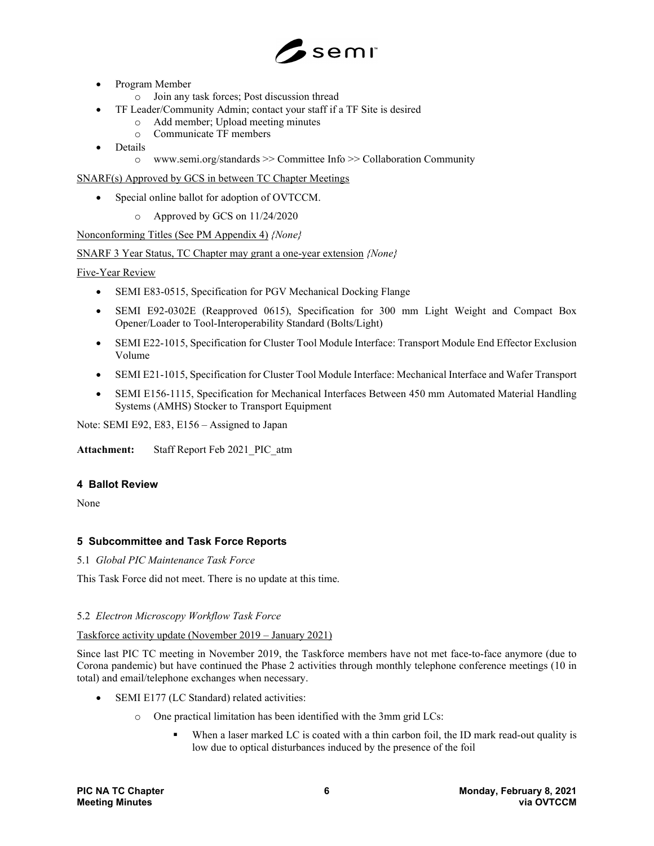

- Program Member
	- o Join any task forces; Post discussion thread
- TF Leader/Community Admin; contact your staff if a TF Site is desired
	- o Add member; Upload meeting minutes
	- o Communicate TF members
- **Details** 
	- o www.semi.org/standards >> Committee Info >> Collaboration Community

SNARF(s) Approved by GCS in between TC Chapter Meetings

- Special online ballot for adoption of OVTCCM.
	- o Approved by GCS on 11/24/2020

Nonconforming Titles (See PM Appendix 4) *{None}*

# SNARF 3 Year Status, TC Chapter may grant a one-year extension *{None}*

Five-Year Review

- SEMI E83-0515, Specification for PGV Mechanical Docking Flange
- SEMI E92-0302E (Reapproved 0615), Specification for 300 mm Light Weight and Compact Box Opener/Loader to Tool-Interoperability Standard (Bolts/Light)
- SEMI E22-1015, Specification for Cluster Tool Module Interface: Transport Module End Effector Exclusion Volume
- SEMI E21-1015, Specification for Cluster Tool Module Interface: Mechanical Interface and Wafer Transport
- SEMI E156-1115, Specification for Mechanical Interfaces Between 450 mm Automated Material Handling Systems (AMHS) Stocker to Transport Equipment

Note: SEMI E92, E83, E156 – Assigned to Japan

**Attachment:** Staff Report Feb 2021\_PIC\_atm

# **4 Ballot Review**

None

# **5 Subcommittee and Task Force Reports**

# 5.1 *Global PIC Maintenance Task Force*

This Task Force did not meet. There is no update at this time.

# 5.2 *Electron Microscopy Workflow Task Force*

# Taskforce activity update (November 2019 – January 2021)

Since last PIC TC meeting in November 2019, the Taskforce members have not met face-to-face anymore (due to Corona pandemic) but have continued the Phase 2 activities through monthly telephone conference meetings (10 in total) and email/telephone exchanges when necessary.

- SEMI E177 (LC Standard) related activities:
	- o One practical limitation has been identified with the 3mm grid LCs:
		- When a laser marked LC is coated with a thin carbon foil, the ID mark read-out quality is low due to optical disturbances induced by the presence of the foil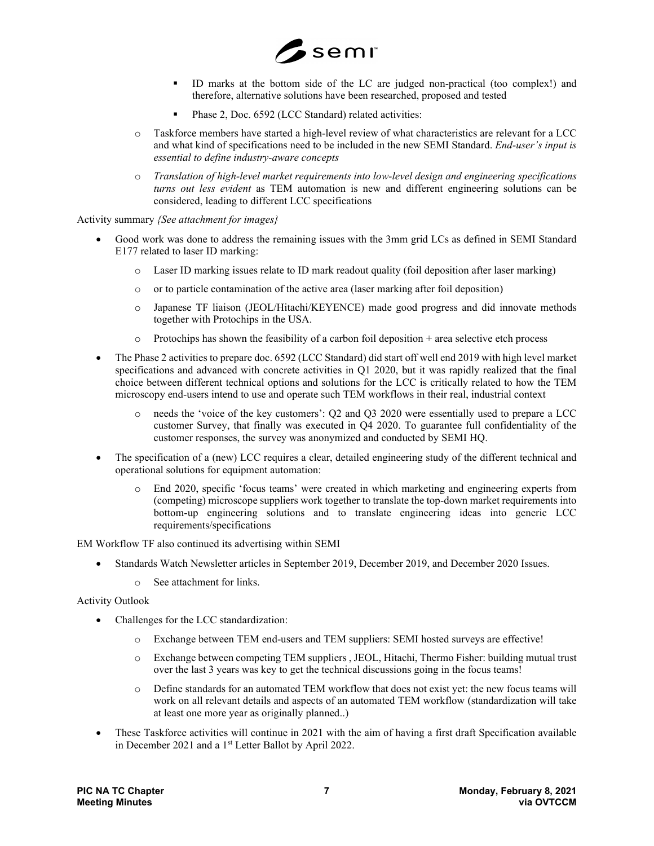

- ID marks at the bottom side of the LC are judged non-practical (too complex!) and therefore, alternative solutions have been researched, proposed and tested
- Phase 2, Doc. 6592 (LCC Standard) related activities:
- o Taskforce members have started a high-level review of what characteristics are relevant for a LCC and what kind of specifications need to be included in the new SEMI Standard. *End-user's input is essential to define industry-aware concepts*
- o *Translation of high-level market requirements into low-level design and engineering specifications turns out less evident* as TEM automation is new and different engineering solutions can be considered, leading to different LCC specifications

Activity summary *{See attachment for images}*

- Good work was done to address the remaining issues with the 3mm grid LCs as defined in SEMI Standard E177 related to laser ID marking:
	- o Laser ID marking issues relate to ID mark readout quality (foil deposition after laser marking)
	- o or to particle contamination of the active area (laser marking after foil deposition)
	- o Japanese TF liaison (JEOL/Hitachi/KEYENCE) made good progress and did innovate methods together with Protochips in the USA.
	- $\circ$  Protochips has shown the feasibility of a carbon foil deposition + area selective etch process
- The Phase 2 activities to prepare doc. 6592 (LCC Standard) did start off well end 2019 with high level market specifications and advanced with concrete activities in Q1 2020, but it was rapidly realized that the final choice between different technical options and solutions for the LCC is critically related to how the TEM microscopy end-users intend to use and operate such TEM workflows in their real, industrial context
	- o needs the 'voice of the key customers': Q2 and Q3 2020 were essentially used to prepare a LCC customer Survey, that finally was executed in Q4 2020. To guarantee full confidentiality of the customer responses, the survey was anonymized and conducted by SEMI HQ.
- The specification of a (new) LCC requires a clear, detailed engineering study of the different technical and operational solutions for equipment automation:
	- o End 2020, specific 'focus teams' were created in which marketing and engineering experts from (competing) microscope suppliers work together to translate the top-down market requirements into bottom-up engineering solutions and to translate engineering ideas into generic LCC requirements/specifications

EM Workflow TF also continued its advertising within SEMI

- Standards Watch Newsletter articles in September 2019, December 2019, and December 2020 Issues.
	- o See attachment for links.

Activity Outlook

- Challenges for the LCC standardization:
	- o Exchange between TEM end-users and TEM suppliers: SEMI hosted surveys are effective!
	- o Exchange between competing TEM suppliers , JEOL, Hitachi, Thermo Fisher: building mutual trust over the last 3 years was key to get the technical discussions going in the focus teams!
	- o Define standards for an automated TEM workflow that does not exist yet: the new focus teams will work on all relevant details and aspects of an automated TEM workflow (standardization will take at least one more year as originally planned..)
- These Taskforce activities will continue in 2021 with the aim of having a first draft Specification available in December 2021 and a 1<sup>st</sup> Letter Ballot by April 2022.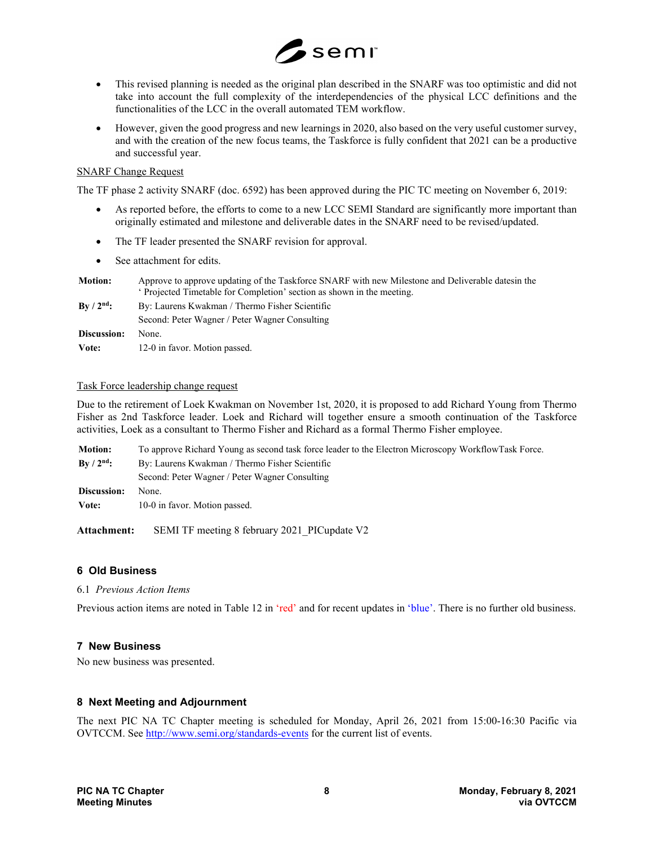

- This revised planning is needed as the original plan described in the SNARF was too optimistic and did not take into account the full complexity of the interdependencies of the physical LCC definitions and the functionalities of the LCC in the overall automated TEM workflow.
- However, given the good progress and new learnings in 2020, also based on the very useful customer survey, and with the creation of the new focus teams, the Taskforce is fully confident that 2021 can be a productive and successful year.

### SNARF Change Request

The TF phase 2 activity SNARF (doc. 6592) has been approved during the PIC TC meeting on November 6, 2019:

- As reported before, the efforts to come to a new LCC SEMI Standard are significantly more important than originally estimated and milestone and deliverable dates in the SNARF need to be revised/updated.
- The TF leader presented the SNARF revision for approval.
- See attachment for edits.

| <b>Motion:</b>          | Approve to approve updating of the Taskforce SNARF with new Milestone and Deliverable dates in the<br><i>'</i> Projected Timetable for Completion' section as shown in the meeting. |
|-------------------------|-------------------------------------------------------------------------------------------------------------------------------------------------------------------------------------|
| $\rm{Bv}/2^{\rm{nd}}$ : | By: Laurens Kwakman / Thermo Fisher Scientific                                                                                                                                      |
|                         | Second: Peter Wagner / Peter Wagner Consulting                                                                                                                                      |
| Discussion:             | None.                                                                                                                                                                               |
| Vote:                   | 12-0 in favor. Motion passed.                                                                                                                                                       |

### Task Force leadership change request

Due to the retirement of Loek Kwakman on November 1st, 2020, it is proposed to add Richard Young from Thermo Fisher as 2nd Taskforce leader. Loek and Richard will together ensure a smooth continuation of the Taskforce activities, Loek as a consultant to Thermo Fisher and Richard as a formal Thermo Fisher employee.

| <b>Motion:</b>     | To approve Richard Young as second task force leader to the Electron Microscopy WorkflowTask Force. |
|--------------------|-----------------------------------------------------------------------------------------------------|
| $\rm{Bv}/2^{nd}$ : | By: Laurens Kwakman / Thermo Fisher Scientific                                                      |
|                    | Second: Peter Wagner / Peter Wagner Consulting                                                      |
| Discussion:        | None.                                                                                               |
| Vote:              | 10-0 in favor. Motion passed.                                                                       |

Attachment: SEMI TF meeting 8 february 2021 PICupdate V2

# **6 Old Business**

#### 6.1 *Previous Action Items*

Previous action items are noted in Table 12 in 'red' and for recent updates in 'blue'. There is no further old business.

# **7 New Business**

No new business was presented.

# **8 Next Meeting and Adjournment**

The next PIC NA TC Chapter meeting is scheduled for Monday, April 26, 2021 from 15:00-16:30 Pacific via OVTCCM. Se[e http://www.semi.org/standards-events](http://www.semi.org/standards-events) for the current list of events.